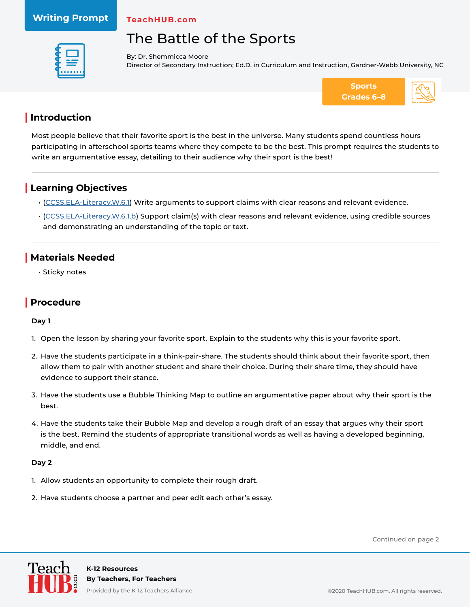#### **Writing Prompt**

**TeachHUB.com**

# The Battle of the Sports



By: Dr. Shemmicca Moore Director of Secondary Instruction; Ed.D. in Curriculum and Instruction, Gardner-Webb University, NC



### **| Introduction**

Most people believe that their favorite sport is the best in the universe. Many students spend countless hours participating in afterschool sports teams where they compete to be the best. This prompt requires the students to write an argumentative essay, detailing to their audience why their sport is the best!

## **| Learning Objectives**

- [\(CCSS.ELA-Literacy.W.6.1\)](http://www.corestandards.org/ELA-Literacy/W/6/1/) Write arguments to support claims with clear reasons and relevant evidence.
- [\(CCSS.ELA-Literacy.W.6.1.b](http://www.corestandards.org/ELA-Literacy/W/6/1/b/)) Support claim(s) with clear reasons and relevant evidence, using credible sources and demonstrating an understanding of the topic or text.

## **| Materials Needed**

• Sticky notes

## **| Procedure**

#### **Day 1**

- 1. Open the lesson by sharing your favorite sport. Explain to the students why this is your favorite sport.
- 2. Have the students participate in a think-pair-share. The students should think about their favorite sport, then allow them to pair with another student and share their choice. During their share time, they should have evidence to support their stance.
- 3. Have the students use a Bubble Thinking Map to outline an argumentative paper about why their sport is the best.
- 4. Have the students take their Bubble Map and develop a rough draft of an essay that argues why their sport is the best. Remind the students of appropriate transitional words as well as having a developed beginning, middle, and end.

#### **Day 2**

- 1. Allow students an opportunity to complete their rough draft.
- 2. Have students choose a partner and peer edit each other's essay.

Continued on page 2